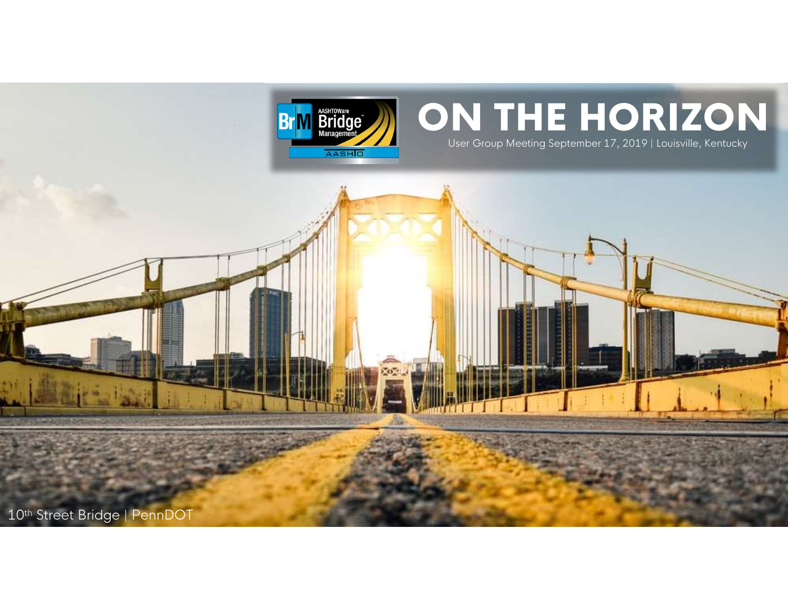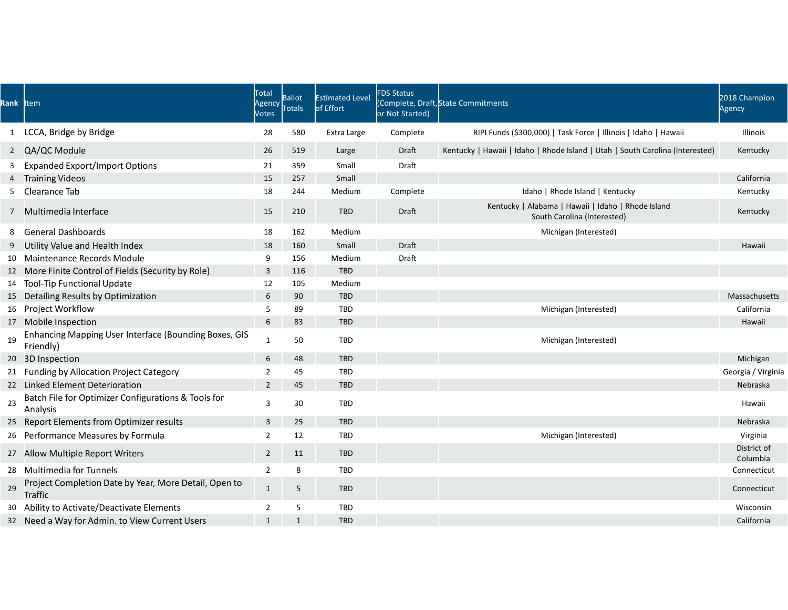|    | Rank Item                                                                              | Total<br>Agency<br>Votes         | <b>Ballot</b><br>Totals | <b>Estimated Level</b><br>of Effort | FDS Status<br>or Not Started) | (Complete, Draft, State Commitments                                               | 2018 Champion<br>Agency             |
|----|----------------------------------------------------------------------------------------|----------------------------------|-------------------------|-------------------------------------|-------------------------------|-----------------------------------------------------------------------------------|-------------------------------------|
|    | 1 LCCA, Bridge by Bridge                                                               | 28                               | 580                     | Extra Large                         | Complete                      | RIPI Funds (\$300,000)   Task Force   Illinois   Idaho   Hawaii                   | Illinois                            |
|    | 2 QA/QC Module                                                                         | 26                               | 519                     | Large                               | Draft                         | Kentucky   Hawaii   Idaho   Rhode Island   Utah   South Carolina (Interested)     | Kentucky                            |
|    | 3 Expanded Export/Import Options                                                       |                                  | 359                     | Small                               | Draft                         |                                                                                   |                                     |
|    | 4 Training Videos                                                                      | 21<br>15                         | 257                     | Small                               |                               |                                                                                   | California                          |
|    | 5 Clearance Tab                                                                        | 18                               | 244                     | Medium                              | Complete                      | Idaho   Rhode Island   Kentucky                                                   | Kentucky                            |
|    | 7 Multimedia Interface                                                                 | 15                               | 210                     | TBD                                 | Draft                         | Kentucky   Alabama   Hawaii   Idaho   Rhode Island<br>South Carolina (Interested) | Kentucky                            |
|    | 8 General Dashboards                                                                   | 18                               | 162                     | Medium                              |                               | Michigan (Interested)                                                             |                                     |
|    | 9 Utility Value and Health Index                                                       | 18                               | 160                     | Small                               | Draft                         |                                                                                   | Hawaii                              |
|    | 10 Maintenance Records Module                                                          | 9                                | 156                     | Medium                              | Draft                         |                                                                                   |                                     |
|    | 12 More Finite Control of Fields (Security by Role)                                    | $\overline{\mathbf{3}}$          | 116                     | TBD                                 |                               |                                                                                   |                                     |
|    | 14 Tool-Tip Functional Update                                                          | 12                               | 105                     | Medium                              |                               |                                                                                   |                                     |
|    | 15 Detailing Results by Optimization                                                   | 6                                | 90                      | TBD                                 |                               |                                                                                   | Massachusetts                       |
|    | 16 Project Workflow                                                                    | -5                               | 89                      | TBD                                 |                               | Michigan (Interested)                                                             | California                          |
|    | 17 Mobile Inspection                                                                   | 6                                | 83                      | TBD                                 |                               |                                                                                   | Hawaii                              |
| 19 | Enhancing Mapping User Interface (Bounding Boxes, GIS<br>Friendly)                     | 1                                | 50                      | TBD                                 |                               | Michigan (Interested)                                                             |                                     |
|    | 20 3D Inspection                                                                       | 6                                | 48                      | TBD                                 |                               |                                                                                   | Michigan                            |
|    | 21 Funding by Allocation Project Category                                              | $\overline{2}$                   | 45                      | TBD                                 |                               |                                                                                   | Georgia / Virginia                  |
|    | 22 Linked Element Deterioration<br>Batch File for Optimizer Configurations & Tools for | $2 \quad \blacksquare$           | 45                      | TBD                                 |                               |                                                                                   | Nebraska                            |
| 23 | Analysis<br>25 Report Elements from Optimizer results                                  | $\overline{\mathbf{3}}$          | 30                      | TBD                                 |                               |                                                                                   | Hawaii                              |
|    |                                                                                        | $\overline{\mathbf{3}}$          | 25                      | TBD                                 |                               |                                                                                   | Nebraska                            |
|    | 26 Performance Measures by Formula<br>27 Allow Multiple Report Writers                 | $\overline{2}$<br>$\overline{2}$ | 12<br>11                | TBD<br>TBD                          |                               | Michigan (Interested)                                                             | Virginia<br>District of<br>Columbia |
|    | 28 Multimedia for Tunnels                                                              | $\overline{2}$                   | 8                       | TBD                                 |                               |                                                                                   | Connecticut                         |
| 29 | Project Completion Date by Year, More Detail, Open to<br>Traffic                       | $\mathbf{1}$                     | 5                       | TBD                                 |                               |                                                                                   | Connecticut                         |
|    | 30 Ability to Activate/Deactivate Elements                                             | $\overline{2}$                   | 5                       | <b>TBD</b>                          |                               |                                                                                   | Wisconsin                           |
|    | 32 Need a Way for Admin. to View Current Users                                         | 1                                | $\overline{1}$          | TBD                                 |                               |                                                                                   | California                          |